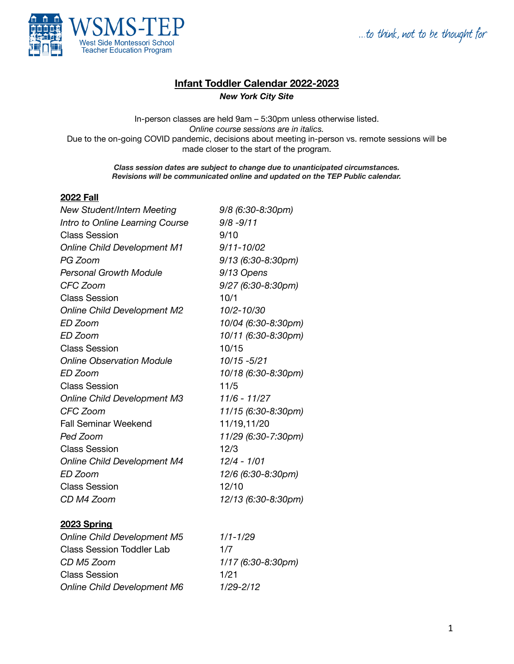...to think, not to be thought for



## **Infant Toddler Calendar 2022-2023**

*New York City Site*

In-person classes are held 9am – 5:30pm unless otherwise listed. *Online course sessions are in italics.* Due to the on-going COVID pandemic, decisions about meeting in-person vs. remote sessions will be made closer to the start of the program.

> *Class session dates are subject to change due to unanticipated circumstances. Revisions will be communicated online and updated on the TEP Public calendar.*

## **2022 Fall**

| New Student/Intern Meeting         | 9/8 (6:30-8:30pm)    |
|------------------------------------|----------------------|
| Intro to Online Learning Course    | $9/8 - 9/11$         |
| <b>Class Session</b>               | 9/10                 |
| <b>Online Child Development M1</b> | $9/11 - 10/02$       |
| PG Zoom                            | $9/13$ (6:30-8:30pm) |
| <b>Personal Growth Module</b>      | 9/13 Opens           |
| CFC Zoom                           | 9/27 (6:30-8:30pm)   |
| <b>Class Session</b>               | 10/1                 |
| <b>Online Child Development M2</b> | 10/2-10/30           |
| ED Zoom                            | 10/04 (6:30-8:30pm)  |
| ED Zoom                            | 10/11 (6:30-8:30pm)  |
| <b>Class Session</b>               | 10/15                |
| <b>Online Observation Module</b>   | 10/15 - 5/21         |
| ED Zoom                            | 10/18 (6:30-8:30pm)  |
| <b>Class Session</b>               | 11/5                 |
| <b>Online Child Development M3</b> | $11/6 - 11/27$       |
| CFC Zoom                           | 11/15 (6:30-8:30pm)  |
| <b>Fall Seminar Weekend</b>        | 11/19,11/20          |
| Ped Zoom                           | 11/29 (6:30-7:30pm)  |
| <b>Class Session</b>               | 12/3                 |
| <b>Online Child Development M4</b> | $12/4 - 1/01$        |
| ED Zoom                            | 12/6 (6:30-8:30pm)   |
| <b>Class Session</b>               | 12/10                |
| CD M4 Zoom                         | 12/13 (6:30-8:30pm)  |
|                                    |                      |

## **2023 Spring**

*Online Child Development M5 1/1-1/29* Class Session Toddler Lab 1/7 *CD M5 Zoom 1/17 (6:30-8:30pm)* Class Session 1/21 *Online Child Development M6 1/29-2/12*